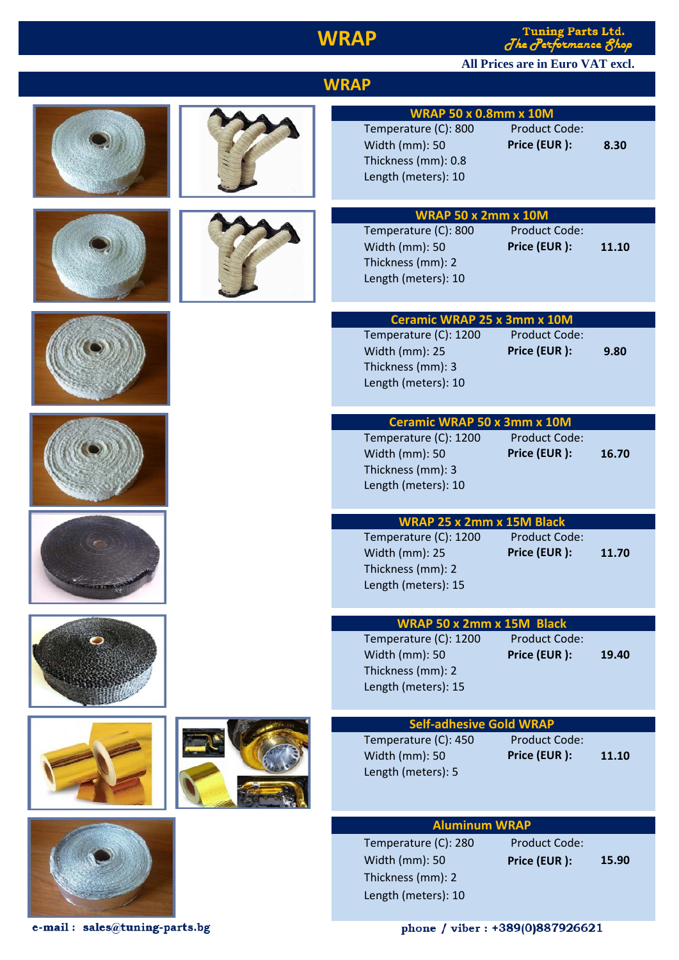## **WRAP**

Tuning Parts Ltd.<br>Jhe Jerformance Shop

#### **All Prices are in Euro VAT excl.**

| <b>WRAP</b>                                                                                                                                                              |  |
|--------------------------------------------------------------------------------------------------------------------------------------------------------------------------|--|
| <b>WRAP 50 x 0.8mm x 10M</b><br>Temperature (C): 800<br><b>Product Code:</b><br>Price (EUR):<br>8.30<br>Width (mm): 50<br>Thickness (mm): 0.8<br>Length (meters): 10     |  |
| <b>WRAP 50 x 2mm x 10M</b><br><b>Product Code:</b><br>Temperature (C): 800<br>Price (EUR):<br>Width (mm): 50<br>11.10                                                    |  |
| Thickness (mm): 2<br>Length (meters): 10<br><b>Ceramic WRAP 25 x 3mm x 10M</b><br><b>Product Code:</b><br>Temperature (C): 1200                                          |  |
| Price (EUR):<br>Width (mm): 25<br>9.80<br>Thickness (mm): 3<br>Length (meters): 10<br><b>Ceramic WRAP 50 x 3mm x 10M</b>                                                 |  |
| Temperature (C): 1200<br><b>Product Code:</b><br>Price (EUR):<br>Width (mm): 50<br>16.70<br>Thickness (mm): 3<br>Length (meters): 10<br>WRAP 25 x 2mm x 15M Black        |  |
| Temperature (C): 1200<br><b>Product Code:</b><br>Price (EUR):<br>Width (mm): 25<br>11.70<br>Thickness (mm): 2<br>Length (meters): 15                                     |  |
| <b>WRAP 50 x 2mm x 15M Black</b><br>Temperature (C): 1200<br><b>Product Code:</b><br>Price (EUR):<br>Width (mm): 50<br>19.40<br>Thickness (mm): 2<br>Length (meters): 15 |  |
| <b>Self-adhesive Gold WRAP</b><br>Temperature (C): 450<br><b>Product Code:</b><br>Price (EUR):<br>Width (mm): 50<br>11.10<br>Length (meters): 5                          |  |
| <b>Aluminum WRAP</b><br>Temperature (C): 280<br><b>Product Code:</b><br>Width (mm): 50<br>Price (EUR):<br>15.90<br>Thickness (mm): 2<br>Length (meters): 10              |  |

e-mail:  $sales@tuning\text{-}parts.bg$ 

phone / viber: +389(0)887926621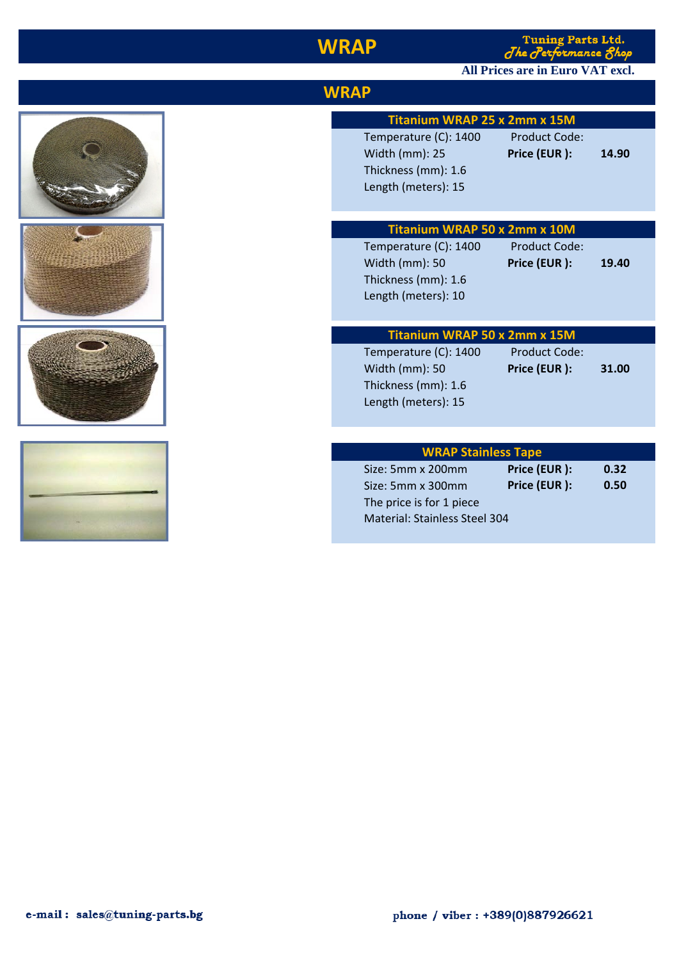### **WRAP**

Tuning Parts Ltd.<br>The Performance Shop

# All Prices are in Euro VAT excl.

| Temperature (C): 1400<br>Width (mm): 25<br>Thickness (mm): 1.6<br>Length (meters): 15 | <b>Product Code:</b><br>Price (EUR): | 14.90                                                                                                                                                                              |
|---------------------------------------------------------------------------------------|--------------------------------------|------------------------------------------------------------------------------------------------------------------------------------------------------------------------------------|
| Temperature (C): 1400<br>Width (mm): 50<br>Thickness (mm): 1.6<br>Length (meters): 10 | <b>Product Code:</b><br>Price (EUR): | 19.40                                                                                                                                                                              |
|                                                                                       |                                      |                                                                                                                                                                                    |
| Temperature (C): 1400<br>Width (mm): 50<br>Thickness (mm): 1.6<br>Length (meters): 15 | <b>Product Code:</b><br>Price (EUR): | 31.00                                                                                                                                                                              |
|                                                                                       |                                      |                                                                                                                                                                                    |
|                                                                                       |                                      |                                                                                                                                                                                    |
| Size: 5mm x 300mm<br>The price is for 1 piece                                         | Price (EUR):                         | 0.32<br>0.50                                                                                                                                                                       |
|                                                                                       | <b>WRAP</b><br>Size: 5mm x 200mm     | Titanium WRAP 25 x 2mm x 15M<br>Titanium WRAP 50 x 2mm x 10M<br>Titanium WRAP 50 x 2mm x 15M<br><b>WRAP Stainless Tape</b><br>Price (EUR):<br><b>Material: Stainless Steel 304</b> |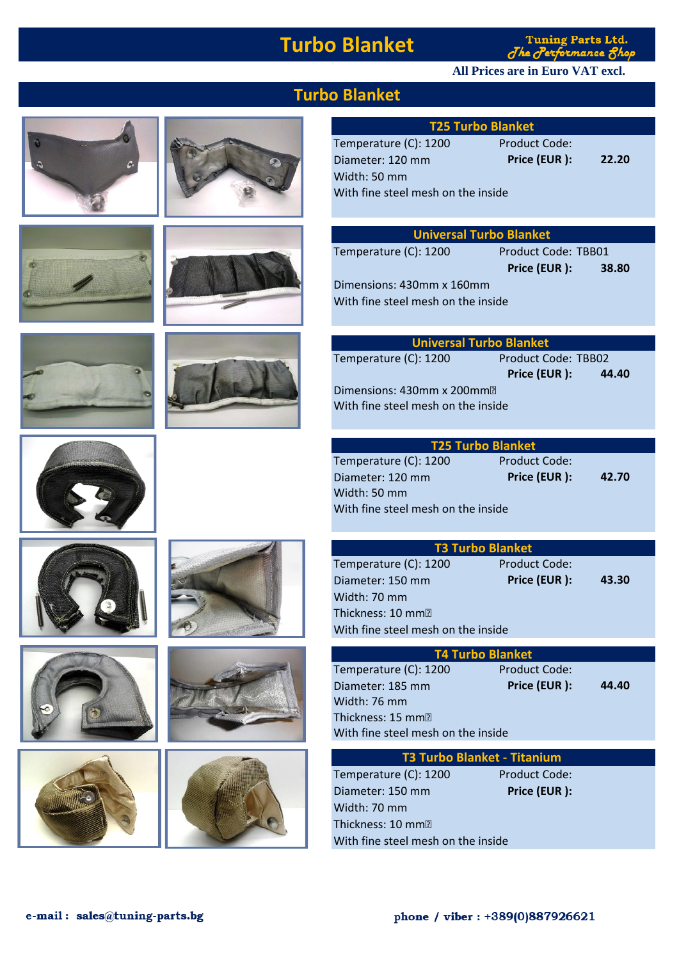### **Turbo Blanket**

**Tuning Parts Ltd.** The Performance 8hop

#### **All Prices are in Euro VAT excl.**























#### **Turbo Blanket**

| <b>T25 Turbo Blanket</b>           |                     |       |
|------------------------------------|---------------------|-------|
| Temperature (C): 1200              | Product Code:       |       |
| Diameter: 120 mm                   | Price (EUR):        | 22.20 |
| Width: 50 mm                       |                     |       |
| With fine steel mesh on the inside |                     |       |
|                                    |                     |       |
|                                    |                     |       |
| <b>Universal Turbo Blanket</b>     |                     |       |
| Temperature (C): 1200              | Product Code: TBB01 |       |
|                                    | Price (EUR):        | 38.80 |
| Dimensions: 430mm x 160mm          |                     |       |
| With fine steel mesh on the inside |                     |       |
|                                    |                     |       |
|                                    |                     |       |
| <b>Universal Turbo Blanket</b>     |                     |       |

| <u>UIIIVEI SALTULDU PIAIINEL</u>   |                     |       |
|------------------------------------|---------------------|-------|
| Temperature (C): 1200              | Product Code: TBB02 |       |
|                                    | Price (EUR):        | 44.40 |
| Dimensions: 430mm x 200mm          |                     |       |
| With fine steel mesh on the inside |                     |       |
|                                    |                     |       |

| <b>T25 Turbo Blanket</b>           |               |       |
|------------------------------------|---------------|-------|
| Temperature (C): 1200              | Product Code: |       |
| Diameter: 120 mm                   | Price (EUR):  | 42.70 |
| Width: 50 mm                       |               |       |
| With fine steel mesh on the inside |               |       |
|                                    |               |       |
|                                    |               |       |

| <b>T3 Turbo Blanket</b>            |                      |       |  |
|------------------------------------|----------------------|-------|--|
| Temperature (C): 1200              | <b>Product Code:</b> |       |  |
| Diameter: 150 mm                   | Price (EUR):         | 43.30 |  |
| Width: 70 mm                       |                      |       |  |
| Thickness: 10 mm?                  |                      |       |  |
| With fine steel mesh on the inside |                      |       |  |

| <b>T4 Turbo Blanket</b>            |                      |       |  |
|------------------------------------|----------------------|-------|--|
| Temperature (C): 1200              | <b>Product Code:</b> |       |  |
| Diameter: 185 mm                   | Price (EUR):         | 44.40 |  |
| Width: 76 mm                       |                      |       |  |
| Thickness: 15 mm                   |                      |       |  |
| With fine steel mesh on the inside |                      |       |  |

| <b>T3 Turbo Blanket - Titanium</b> |                      |  |  |
|------------------------------------|----------------------|--|--|
| Temperature (C): 1200              | <b>Product Code:</b> |  |  |
| Diameter: 150 mm                   | Price (EUR):         |  |  |
| Width: 70 mm                       |                      |  |  |
| Thickness: 10 mmିଆ                 |                      |  |  |
| With fine steel mesh on the inside |                      |  |  |
|                                    |                      |  |  |